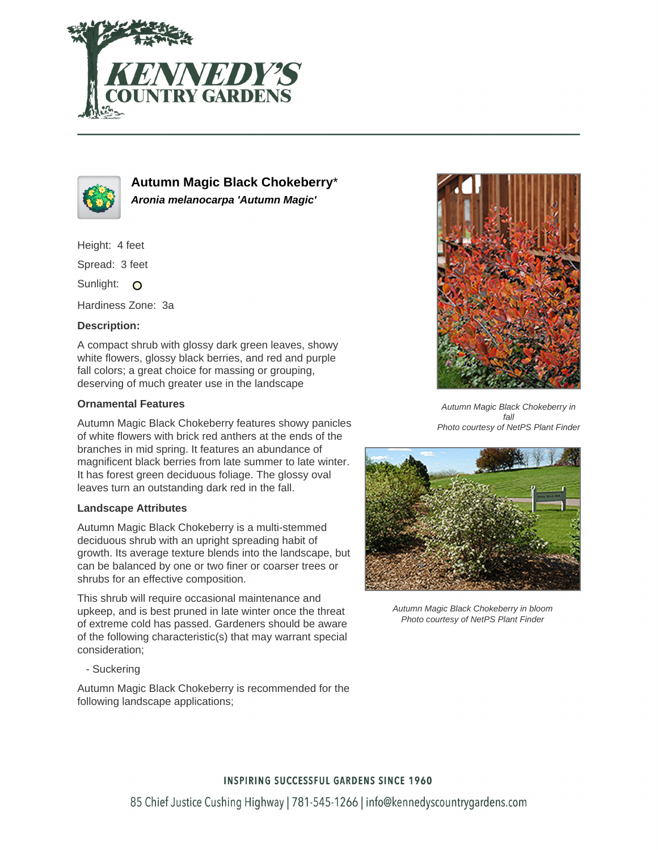



**Autumn Magic Black Chokeberry**\* **Aronia melanocarpa 'Autumn Magic'**

Height: 4 feet

Spread: 3 feet

Sunlight: O

Hardiness Zone: 3a

# **Description:**

A compact shrub with glossy dark green leaves, showy white flowers, glossy black berries, and red and purple fall colors; a great choice for massing or grouping, deserving of much greater use in the landscape

# **Ornamental Features**

Autumn Magic Black Chokeberry features showy panicles of white flowers with brick red anthers at the ends of the branches in mid spring. It features an abundance of magnificent black berries from late summer to late winter. It has forest green deciduous foliage. The glossy oval leaves turn an outstanding dark red in the fall.

### **Landscape Attributes**

Autumn Magic Black Chokeberry is a multi-stemmed deciduous shrub with an upright spreading habit of growth. Its average texture blends into the landscape, but can be balanced by one or two finer or coarser trees or shrubs for an effective composition.

This shrub will require occasional maintenance and upkeep, and is best pruned in late winter once the threat of extreme cold has passed. Gardeners should be aware of the following characteristic(s) that may warrant special consideration;

- Suckering

Autumn Magic Black Chokeberry is recommended for the following landscape applications;



Autumn Magic Black Chokeberry in fall Photo courtesy of NetPS Plant Finder



Autumn Magic Black Chokeberry in bloom Photo courtesy of NetPS Plant Finder

### **INSPIRING SUCCESSFUL GARDENS SINCE 1960**